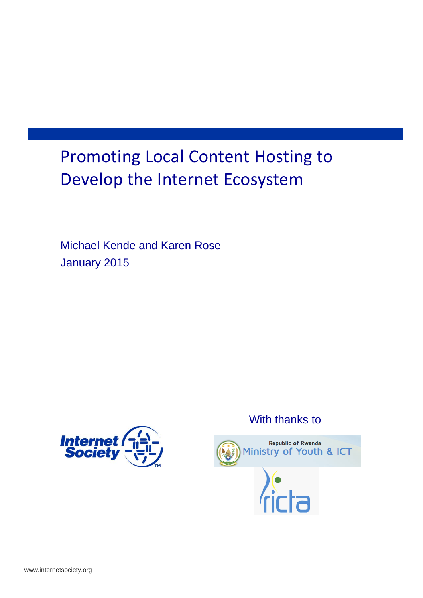## Promoting Local Content Hosting to Develop the Internet Ecosystem

Michael Kende and Karen Rose January 2015



### With thanks to

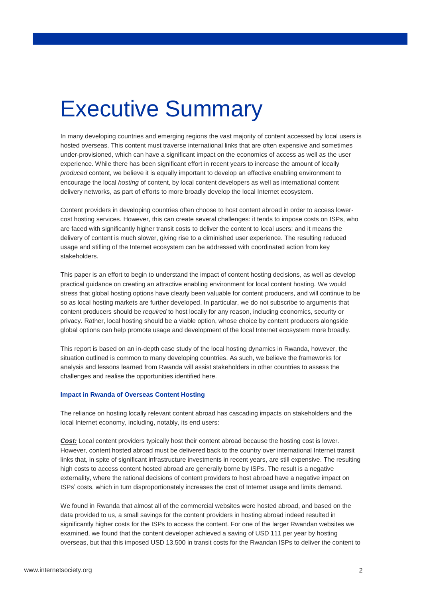## Executive Summary

In many developing countries and emerging regions the vast majority of content accessed by local users is hosted overseas. This content must traverse international links that are often expensive and sometimes under-provisioned, which can have a significant impact on the economics of access as well as the user experience. While there has been significant effort in recent years to increase the amount of locally *produced* content, we believe it is equally important to develop an effective enabling environment to encourage the local *hosting* of content, by local content developers as well as international content delivery networks, as part of efforts to more broadly develop the local Internet ecosystem.

Content providers in developing countries often choose to host content abroad in order to access lowercost hosting services. However, this can create several challenges: it tends to impose costs on ISPs, who are faced with significantly higher transit costs to deliver the content to local users; and it means the delivery of content is much slower, giving rise to a diminished user experience. The resulting reduced usage and stifling of the Internet ecosystem can be addressed with coordinated action from key stakeholders.

This paper is an effort to begin to understand the impact of content hosting decisions, as well as develop practical guidance on creating an attractive enabling environment for local content hosting. We would stress that global hosting options have clearly been valuable for content producers, and will continue to be so as local hosting markets are further developed. In particular, we do not subscribe to arguments that content producers should be *required* to host locally for any reason, including economics, security or privacy. Rather, local hosting should be a viable option, whose choice by content producers alongside global options can help promote usage and development of the local Internet ecosystem more broadly.

This report is based on an in-depth case study of the local hosting dynamics in Rwanda, however, the situation outlined is common to many developing countries. As such, we believe the frameworks for analysis and lessons learned from Rwanda will assist stakeholders in other countries to assess the challenges and realise the opportunities identified here.

#### **Impact in Rwanda of Overseas Content Hosting**

The reliance on hosting locally relevant content abroad has cascading impacts on stakeholders and the local Internet economy, including, notably, its end users:

*Cost:* Local content providers typically host their content abroad because the hosting cost is lower. However, content hosted abroad must be delivered back to the country over international Internet transit links that, in spite of significant infrastructure investments in recent years, are still expensive. The resulting high costs to access content hosted abroad are generally borne by ISPs. The result is a negative externality, where the rational decisions of content providers to host abroad have a negative impact on ISPs' costs, which in turn disproportionately increases the cost of Internet usage and limits demand.

We found in Rwanda that almost all of the commercial websites were hosted abroad, and based on the data provided to us, a small savings for the content providers in hosting abroad indeed resulted in significantly higher costs for the ISPs to access the content. For one of the larger Rwandan websites we examined, we found that the content developer achieved a saving of USD 111 per year by hosting overseas, but that this imposed USD 13,500 in transit costs for the Rwandan ISPs to deliver the content to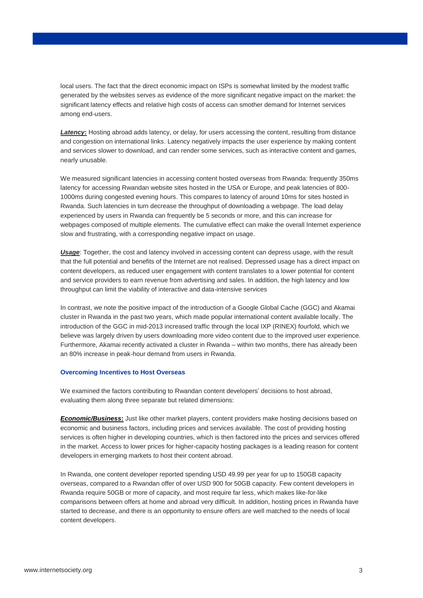local users. The fact that the direct economic impact on ISPs is somewhat limited by the modest traffic generated by the websites serves as evidence of the more significant negative impact on the market: the significant latency effects and relative high costs of access can smother demand for Internet services among end-users.

**Latency:** Hosting abroad adds latency, or delay, for users accessing the content, resulting from distance and congestion on international links. Latency negatively impacts the user experience by making content and services slower to download, and can render some services, such as interactive content and games, nearly unusable.

We measured significant latencies in accessing content hosted overseas from Rwanda: frequently 350ms latency for accessing Rwandan website sites hosted in the USA or Europe, and peak latencies of 800- 1000ms during congested evening hours. This compares to latency of around 10ms for sites hosted in Rwanda. Such latencies in turn decrease the throughput of downloading a webpage. The load delay experienced by users in Rwanda can frequently be 5 seconds or more, and this can increase for webpages composed of multiple elements. The cumulative effect can make the overall Internet experience slow and frustrating, with a corresponding negative impact on usage.

*Usage*: Together, the cost and latency involved in accessing content can depress usage, with the result that the full potential and benefits of the Internet are not realised. Depressed usage has a direct impact on content developers, as reduced user engagement with content translates to a lower potential for content and service providers to earn revenue from advertising and sales. In addition, the high latency and low throughput can limit the viability of interactive and data-intensive services

In contrast, we note the positive impact of the introduction of a Google Global Cache (GGC) and Akamai cluster in Rwanda in the past two years, which made popular international content available locally. The introduction of the GGC in mid-2013 increased traffic through the local IXP (RINEX) fourfold, which we believe was largely driven by users downloading more video content due to the improved user experience. Furthermore, Akamai recently activated a cluster in Rwanda – within two months, there has already been an 80% increase in peak-hour demand from users in Rwanda.

#### **Overcoming Incentives to Host Overseas**

We examined the factors contributing to Rwandan content developers' decisions to host abroad, evaluating them along three separate but related dimensions:

*Economic/Business***:** Just like other market players, content providers make hosting decisions based on economic and business factors, including prices and services available. The cost of providing hosting services is often higher in developing countries, which is then factored into the prices and services offered in the market. Access to lower prices for higher-capacity hosting packages is a leading reason for content developers in emerging markets to host their content abroad.

In Rwanda, one content developer reported spending USD 49.99 per year for up to 150GB capacity overseas, compared to a Rwandan offer of over USD 900 for 50GB capacity. Few content developers in Rwanda require 50GB or more of capacity, and most require far less, which makes like-for-like comparisons between offers at home and abroad very difficult. In addition, hosting prices in Rwanda have started to decrease, and there is an opportunity to ensure offers are well matched to the needs of local content developers.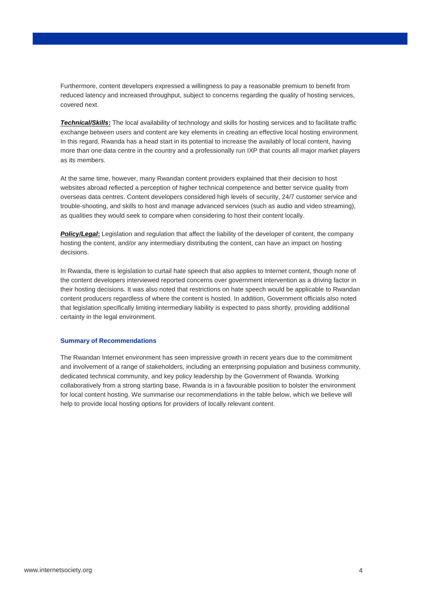Furthermore, content developers expressed a willingness to pay a reasonable premium to benefit from reduced latency and increased throughput, subject to concerns regarding the quality of hosting services, covered next.

*Technical/Skills***:** The local availability of technology and skills for hosting services and to facilitate traffic exchange between users and content are key elements in creating an effective local hosting environment. In this regard, Rwanda has a head start in its potential to increase the availably of local content, having more than one data centre in the country and a professionally run IXP that counts all major market players as its members.

At the same time, however, many Rwandan content providers explained that their decision to host websites abroad reflected a perception of higher technical competence and better service quality from overseas data centres. Content developers considered high levels of security, 24/7 customer service and trouble-shooting, and skills to host and manage advanced services (such as audio and video streaming), as qualities they would seek to compare when considering to host their content locally.

**Policy/Legal:** Legislation and regulation that affect the liability of the developer of content, the company hosting the content, and/or any intermediary distributing the content, can have an impact on hosting decisions.

In Rwanda, there is legislation to curtail hate speech that also applies to Internet content, though none of the content developers interviewed reported concerns over government intervention as a driving factor in their hosting decisions. It was also noted that restrictions on hate speech would be applicable to Rwandan content producers regardless of where the content is hosted. In addition, Government officials also noted that legislation specifically limiting intermediary liability is expected to pass shortly, providing additional certainty in the legal environment.

#### **Summary of Recommendations**

The Rwandan Internet environment has seen impressive growth in recent years due to the commitment and involvement of a range of stakeholders, including an enterprising population and business community, dedicated technical community, and key policy leadership by the Government of Rwanda. Working collaboratively from a strong starting base, Rwanda is in a favourable position to bolster the environment for local content hosting. We summarise our recommendations in the table below, which we believe will help to provide local hosting options for providers of locally relevant content.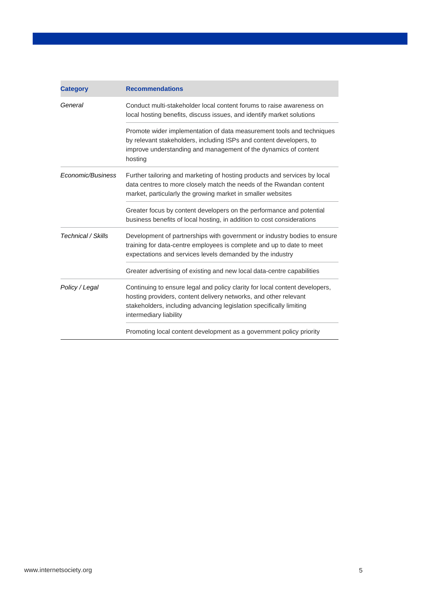| <b>Category</b>    | <b>Recommendations</b>                                                                                                                                                                                                                           |
|--------------------|--------------------------------------------------------------------------------------------------------------------------------------------------------------------------------------------------------------------------------------------------|
| General            | Conduct multi-stakeholder local content forums to raise awareness on<br>local hosting benefits, discuss issues, and identify market solutions                                                                                                    |
|                    | Promote wider implementation of data measurement tools and techniques<br>by relevant stakeholders, including ISPs and content developers, to<br>improve understanding and management of the dynamics of content<br>hosting                       |
| Economic/Business  | Further tailoring and marketing of hosting products and services by local<br>data centres to more closely match the needs of the Rwandan content<br>market, particularly the growing market in smaller websites                                  |
|                    | Greater focus by content developers on the performance and potential<br>business benefits of local hosting, in addition to cost considerations                                                                                                   |
| Technical / Skills | Development of partnerships with government or industry bodies to ensure<br>training for data-centre employees is complete and up to date to meet<br>expectations and services levels demanded by the industry                                   |
|                    | Greater advertising of existing and new local data-centre capabilities                                                                                                                                                                           |
| Policy / Legal     | Continuing to ensure legal and policy clarity for local content developers,<br>hosting providers, content delivery networks, and other relevant<br>stakeholders, including advancing legislation specifically limiting<br>intermediary liability |
|                    | Promoting local content development as a government policy priority                                                                                                                                                                              |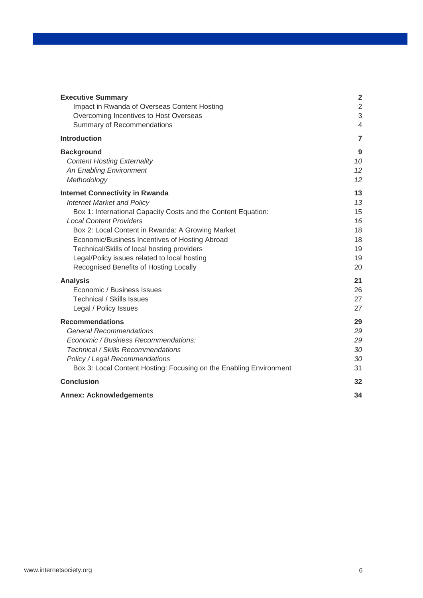| <b>Executive Summary</b>                                           | $\overline{2}$ |
|--------------------------------------------------------------------|----------------|
| Impact in Rwanda of Overseas Content Hosting                       | $\overline{2}$ |
| Overcoming Incentives to Host Overseas                             | 3              |
| Summary of Recommendations                                         | $\overline{4}$ |
| <b>Introduction</b>                                                | $\overline{7}$ |
| <b>Background</b>                                                  | 9              |
| <b>Content Hosting Externality</b>                                 | 10             |
| An Enabling Environment                                            | 12             |
| Methodology                                                        | 12             |
| <b>Internet Connectivity in Rwanda</b>                             | 13             |
| <b>Internet Market and Policy</b>                                  | 13             |
| Box 1: International Capacity Costs and the Content Equation:      | 15             |
| <b>Local Content Providers</b>                                     | 16             |
| Box 2: Local Content in Rwanda: A Growing Market                   | 18             |
| Economic/Business Incentives of Hosting Abroad                     | 18             |
| Technical/Skills of local hosting providers                        | 19             |
| Legal/Policy issues related to local hosting                       | 19             |
| Recognised Benefits of Hosting Locally                             | 20             |
| <b>Analysis</b>                                                    | 21             |
| Economic / Business Issues                                         | 26             |
| <b>Technical / Skills Issues</b>                                   | 27             |
| Legal / Policy Issues                                              | 27             |
| <b>Recommendations</b>                                             | 29             |
| <b>General Recommendations</b>                                     | 29             |
| Economic / Business Recommendations:                               | 29             |
| Technical / Skills Recommendations                                 | 30             |
| Policy / Legal Recommendations                                     | 30             |
| Box 3: Local Content Hosting: Focusing on the Enabling Environment | 31             |
| <b>Conclusion</b>                                                  | 32             |
| <b>Annex: Acknowledgements</b>                                     | 34             |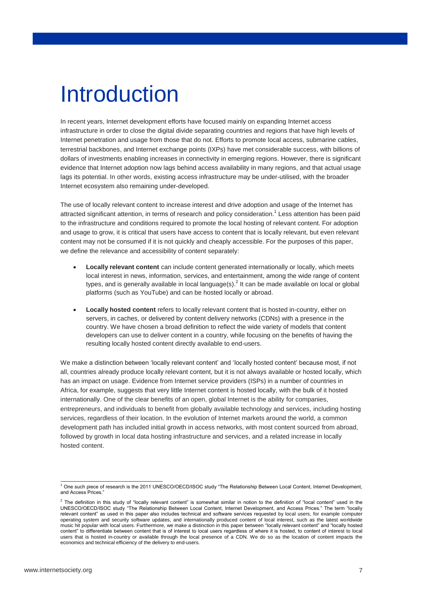## Introduction

In recent years, Internet development efforts have focused mainly on expanding Internet access infrastructure in order to close the digital divide separating countries and regions that have high levels of Internet penetration and usage from those that do not. Efforts to promote local access, submarine cables, terrestrial backbones, and Internet exchange points (IXPs) have met considerable success, with billions of dollars of investments enabling increases in connectivity in emerging regions. However, there is significant evidence that Internet adoption now lags behind access availability in many regions, and that actual usage lags its potential. In other words, existing access infrastructure may be under-utilised, with the broader Internet ecosystem also remaining under-developed.

The use of locally relevant content to increase interest and drive adoption and usage of the Internet has attracted significant attention, in terms of research and policy consideration.<sup>1</sup> Less attention has been paid to the infrastructure and conditions required to promote the local hosting of relevant content. For adoption and usage to grow, it is critical that users have access to content that is locally relevant, but even relevant content may not be consumed if it is not quickly and cheaply accessible. For the purposes of this paper, we define the relevance and accessibility of content separately:

- **Locally relevant content** can include content generated internationally or locally, which meets local interest in news, information, services, and entertainment, among the wide range of content types, and is generally available in local language(s).<sup>2</sup> It can be made available on local or global platforms (such as YouTube) and can be hosted locally or abroad.
- **Locally hosted content** refers to locally relevant content that is hosted in-country, either on servers, in caches, or delivered by content delivery networks (CDNs) with a presence in the country. We have chosen a broad definition to reflect the wide variety of models that content developers can use to deliver content in a country, while focusing on the benefits of having the resulting locally hosted content directly available to end-users.

We make a distinction between 'locally relevant content' and 'locally hosted content' because most, if not all, countries already produce locally relevant content, but it is not always available or hosted locally, which has an impact on usage. Evidence from Internet service providers (ISPs) in a number of countries in Africa, for example, suggests that very little Internet content is hosted locally, with the bulk of it hosted internationally. One of the clear benefits of an open, global Internet is the ability for companies, entrepreneurs, and individuals to benefit from globally available technology and services, including hosting services, regardless of their location. In the evolution of Internet markets around the world, a common development path has included initial growth in access networks, with most content sourced from abroad, followed by growth in local data hosting infrastructure and services, and a related increase in locally hosted content.

<sup>-</sup><sup>1</sup> One such piece of research is the 2011 UNESCO/OECD/ISOC study "The Relationship Between Local Content, Internet Development, and Access Prices."

 $<sup>2</sup>$  The definition in this study of "locally relevant content" is somewhat similar in notion to the definition of "local content" used in the</sup> UNESCO/OECD/ISOC study "The Relationship Between Local Content, Internet Development, and Access Prices." The term "locally relevant content" as used in this paper also includes technical and software services requested by local users, for example computer operating system and security software updates, and internationally produced content of local interest, such as the latest worldwide music hit popular with local users. Furthermore, we make a distinction in this paper between "locally relevant content" and "locally hosted content" to differentiate between content that is of interest to local users regardless of where it is hosted, to content of interest to local users that is hosted in-country or available through the local presence of a CDN. We do so as the location of content impacts the economics and technical efficiency of the delivery to end-users.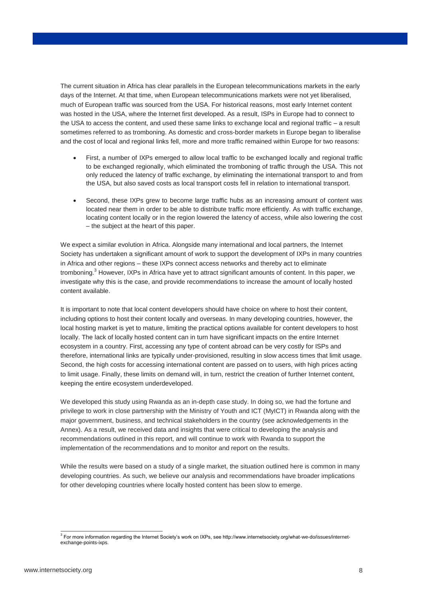The current situation in Africa has clear parallels in the European telecommunications markets in the early days of the Internet. At that time, when European telecommunications markets were not yet liberalised, much of European traffic was sourced from the USA. For historical reasons, most early Internet content was hosted in the USA, where the Internet first developed. As a result, ISPs in Europe had to connect to the USA to access the content, and used these same links to exchange local and regional traffic – a result sometimes referred to as tromboning. As domestic and cross-border markets in Europe began to liberalise and the cost of local and regional links fell, more and more traffic remained within Europe for two reasons:

- First, a number of IXPs emerged to allow local traffic to be exchanged locally and regional traffic to be exchanged regionally, which eliminated the tromboning of traffic through the USA. This not only reduced the latency of traffic exchange, by eliminating the international transport to and from the USA, but also saved costs as local transport costs fell in relation to international transport.
- Second, these IXPs grew to become large traffic hubs as an increasing amount of content was located near them in order to be able to distribute traffic more efficiently. As with traffic exchange, locating content locally or in the region lowered the latency of access, while also lowering the cost – the subject at the heart of this paper.

We expect a similar evolution in Africa. Alongside many international and local partners, the Internet Society has undertaken a significant amount of work to support the development of IXPs in many countries in Africa and other regions – these IXPs connect access networks and thereby act to eliminate tromboning.<sup>3</sup> However, IXPs in Africa have yet to attract significant amounts of content. In this paper, we investigate why this is the case, and provide recommendations to increase the amount of locally hosted content available.

It is important to note that local content developers should have choice on where to host their content, including options to host their content locally and overseas. In many developing countries, however, the local hosting market is yet to mature, limiting the practical options available for content developers to host locally. The lack of locally hosted content can in turn have significant impacts on the entire Internet ecosystem in a country. First, accessing any type of content abroad can be very costly for ISPs and therefore, international links are typically under-provisioned, resulting in slow access times that limit usage. Second, the high costs for accessing international content are passed on to users, with high prices acting to limit usage. Finally, these limits on demand will, in turn, restrict the creation of further Internet content, keeping the entire ecosystem underdeveloped.

We developed this study using Rwanda as an in-depth case study. In doing so, we had the fortune and privilege to work in close partnership with the Ministry of Youth and ICT (MyICT) in Rwanda along with the major government, business, and technical stakeholders in the country (see acknowledgements in the Annex). As a result, we received data and insights that were critical to developing the analysis and recommendations outlined in this report, and will continue to work with Rwanda to support the implementation of the recommendations and to monitor and report on the results.

While the results were based on a study of a single market, the situation outlined here is common in many developing countries. As such, we believe our analysis and recommendations have broader implications for other developing countries where locally hosted content has been slow to emerge.

 3 For more information regarding the Internet Society's work on IXPs, see http://www.internetsociety.org/what-we-do/issues/internetexchange-points-ixps.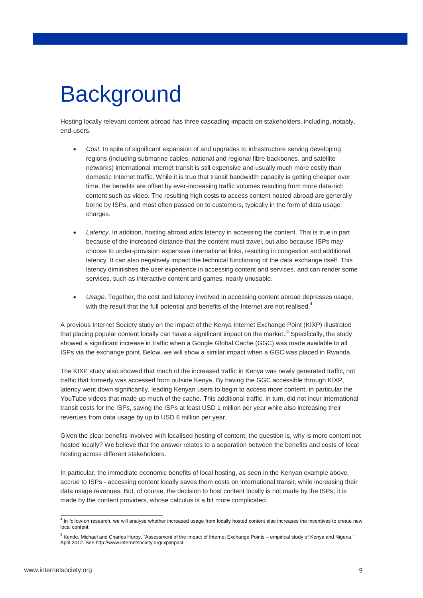## **Background**

Hosting locally relevant content abroad has three cascading impacts on stakeholders, including, notably, end-users.

- *Cost.* In spite of significant expansion of and upgrades to infrastructure serving developing regions (including submarine cables, national and regional fibre backbones, and satellite networks) international Internet transit is still expensive and usually much more costly than domestic Internet traffic. While it is true that transit bandwidth capacity is getting cheaper over time, the benefits are offset by ever-increasing traffic volumes resulting from more data-rich content such as video. The resulting high costs to access content hosted abroad are generally borne by ISPs, and most often passed on to customers, typically in the form of data usage charges.
- *Latency*. In addition, hosting abroad adds latency in accessing the content. This is true in part because of the increased distance that the content must travel, but also because ISPs may choose to under-provision expensive international links, resulting in congestion and additional latency. It can also negatively impact the technical functioning of the data exchange itself. This latency diminishes the user experience in accessing content and services, and can render some services, such as interactive content and games, nearly unusable.
- *Usage*. Together, the cost and latency involved in accessing content abroad depresses usage, with the result that the full potential and benefits of the Internet are not realised.<sup>4</sup>

A previous Internet Society study on the impact of the Kenya Internet Exchange Point (KIXP) illustrated that placing popular content locally can have a significant impact on the market. <sup>5</sup> Specifically, the study showed a significant increase in traffic when a Google Global Cache (GGC) was made available to all ISPs via the exchange point. Below, we will show a similar impact when a GGC was placed in Rwanda.

The KIXP study also showed that much of the increased traffic in Kenya was newly generated traffic, not traffic that formerly was accessed from outside Kenya. By having the GGC accessible through KIXP, latency went down significantly, leading Kenyan users to begin to access more content, in particular the YouTube videos that made up much of the cache. This additional traffic, in turn, did not incur international transit costs for the ISPs, saving the ISPs at least USD 1 million per year while also increasing their revenues from data usage by up to USD 6 million per year.

Given the clear benefits involved with localised hosting of content, the question is, why is more content not hosted locally? We believe that the answer relates to a separation between the benefits and costs of local hosting across different stakeholders.

In particular, the immediate economic benefits of local hosting, as seen in the Kenyan example above, accrue to ISPs - accessing content locally saves them costs on international transit, while increasing their data usage revenues. But, of course, the decision to host content locally is not made by the ISPs; it is made by the content providers, whose calculus is a bit more complicated.

 4 In follow-on research, we will analyse whether increased usage from locally hosted content also increases the incentives to create new local content.

<sup>5</sup> Kende, Michael and Charles Hurpy, "Assessment of the impact of Internet Exchange Points – empirical study of Kenya and Nigeria." April 2012. See http://www.internetsociety.org/ixpimpact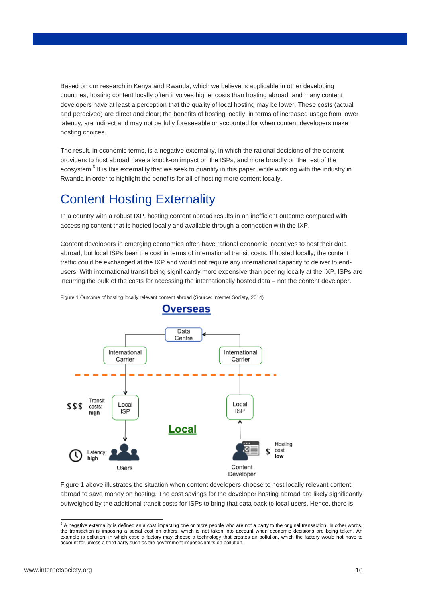Based on our research in Kenya and Rwanda, which we believe is applicable in other developing countries, hosting content locally often involves higher costs than hosting abroad, and many content developers have at least a perception that the quality of local hosting may be lower. These costs (actual and perceived) are direct and clear; the benefits of hosting locally, in terms of increased usage from lower latency, are indirect and may not be fully foreseeable or accounted for when content developers make hosting choices.

The result, in economic terms, is a negative externality, in which the rational decisions of the content providers to host abroad have a knock-on impact on the ISPs, and more broadly on the rest of the ecosystem.<sup>6</sup> It is this externality that we seek to quantify in this paper, while working with the industry in Rwanda in order to highlight the benefits for all of hosting more content locally.

### Content Hosting Externality

In a country with a robust IXP, hosting content abroad results in an inefficient outcome compared with accessing content that is hosted locally and available through a connection with the IXP.

Content developers in emerging economies often have rational economic incentives to host their data abroad, but local ISPs bear the cost in terms of international transit costs. If hosted locally, the content traffic could be exchanged at the IXP and would not require any international capacity to deliver to endusers. With international transit being significantly more expensive than peering locally at the IXP, ISPs are incurring the bulk of the costs for accessing the internationally hosted data – not the content developer.

Data Centre International International Carrier Carrier Transit Local Local 555 costs: **ISP** ISE high Local Hosting cost: Latency: low high Users Content Developer

<span id="page-9-0"></span>Figure 1 Outcome of hosting locally relevant content abroad (Source: Internet Society, 2014)

[Figure 1](#page-9-0) above illustrates the situation when content developers choose to host locally relevant content abroad to save money on hosting. The cost savings for the developer hosting abroad are likely significantly outweighed by the additional transit costs for ISPs to bring that data back to local users. Hence, there is

-



 $6$  A negative externality is defined as a cost impacting one or more people who are not a party to the original transaction. In other words, the transaction is imposing a social cost on others, which is not taken into account when economic decisions are being taken. An example is pollution, in which case a factory may choose a technology that creates air pollution, which the factory would not have to account for unless a third party such as the government imposes limits on pollution.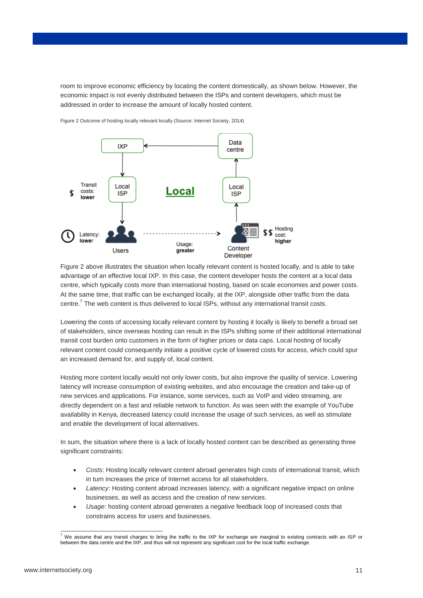room to improve economic efficiency by locating the content domestically, as shown below. However, the economic impact is not evenly distributed between the ISPs and content developers, which must be addressed in order to increase the amount of locally hosted content.



<span id="page-10-0"></span>Figure 2 Outcome of hosting locally relevant locally (Source: Internet Society, 2014)

[Figure 2](#page-10-0) above illustrates the situation when locally relevant content is hosted locally, and is able to take advantage of an effective local IXP. In this case, the content developer hosts the content at a local data centre, which typically costs more than international hosting, based on scale economies and power costs. At the same time, that traffic can be exchanged locally, at the IXP, alongside other traffic from the data centre.<sup>7</sup> The web content is thus delivered to local ISPs, without any international transit costs.

Lowering the costs of accessing locally relevant content by hosting it locally is likely to benefit a broad set of stakeholders, since overseas hosting can result in the ISPs shifting some of their additional international transit cost burden onto customers in the form of higher prices or data caps. Local hosting of locally relevant content could consequently initiate a positive cycle of lowered costs for access, which could spur an increased demand for, and supply of, local content.

Hosting more content locally would not only lower costs, but also improve the quality of service. Lowering latency will increase consumption of existing websites, and also encourage the creation and take-up of new services and applications. For instance, some services, such as VoIP and video streaming, are directly dependent on a fast and reliable network to function. As was seen with the example of YouTube availability in Kenya, decreased latency could increase the usage of such services, as well as stimulate and enable the development of local alternatives.

In sum, the situation where there is a lack of locally hosted content can be described as generating three significant constraints:

- *Costs*: Hosting locally relevant content abroad generates high costs of international transit, which in turn increases the price of Internet access for all stakeholders.
- *Latency*: Hosting content abroad increases latency, with a significant negative impact on online businesses, as well as access and the creation of new services.
- *Usage*: hosting content abroad generates a negative feedback loop of increased costs that constrains access for users and businesses.

<sup>-</sup> $^7$  We assume that any transit charges to bring the traffic to the IXP for exchange are marginal to existing contracts with an ISP or between the data centre and the IXP, and thus will not represent any significant cost for the local traffic exchange.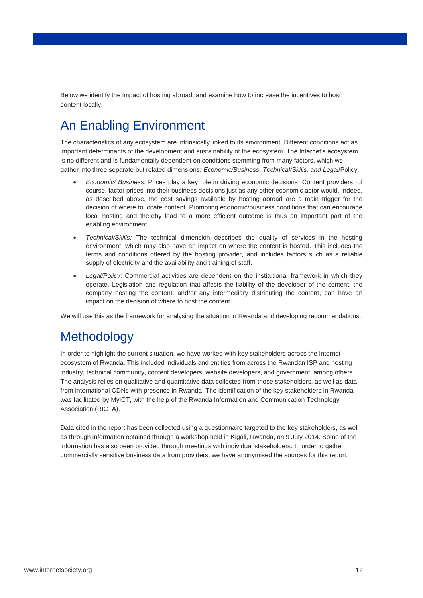Below we identify the impact of hosting abroad, and examine how to increase the incentives to host content locally.

## An Enabling Environment

The characteristics of any ecosystem are intrinsically linked to its environment. Different conditions act as important determinants of the development and sustainability of the ecosystem. The Internet's ecosystem is no different and is fundamentally dependent on conditions stemming from many factors, which we gather into three separate but related dimensions: *Economic/Business*, *Technical/Skills, and Legal*/Policy.

- *Economic/ Business*: Prices play a key role in driving economic decisions. Content providers, of course, factor prices into their business decisions just as any other economic actor would. Indeed, as described above, the cost savings available by hosting abroad are a main trigger for the decision of where to locate content. Promoting economic/business conditions that can encourage local hosting and thereby lead to a more efficient outcome is thus an important part of the enabling environment.
- *Technical/Skills:* The technical dimension describes the quality of services in the hosting environment, which may also have an impact on where the content is hosted. This includes the terms and conditions offered by the hosting provider, and includes factors such as a reliable supply of electricity and the availability and training of staff.
- *Legal/Policy*: Commercial activities are dependent on the institutional framework in which they operate. Legislation and regulation that affects the liability of the developer of the content, the company hosting the content, and/or any intermediary distributing the content, can have an impact on the decision of where to host the content.

We will use this as the framework for analysing the situation in Rwanda and developing recommendations.

### **Methodology**

In order to highlight the current situation, we have worked with key stakeholders across the Internet ecosystem of Rwanda. This included individuals and entities from across the Rwandan ISP and hosting industry, technical community, content developers, website developers, and government, among others. The analysis relies on qualitative and quantitative data collected from those stakeholders, as well as data from international CDNs with presence in Rwanda. The identification of the key stakeholders in Rwanda was facilitated by MyICT, with the help of the Rwanda Information and Communication Technology Association (RICTA).

Data cited in the report has been collected using a questionnaire targeted to the key stakeholders, as well as through information obtained through a workshop held in Kigali, Rwanda, on 9 July 2014. Some of the information has also been provided through meetings with individual stakeholders. In order to gather commercially sensitive business data from providers, we have anonymised the sources for this report.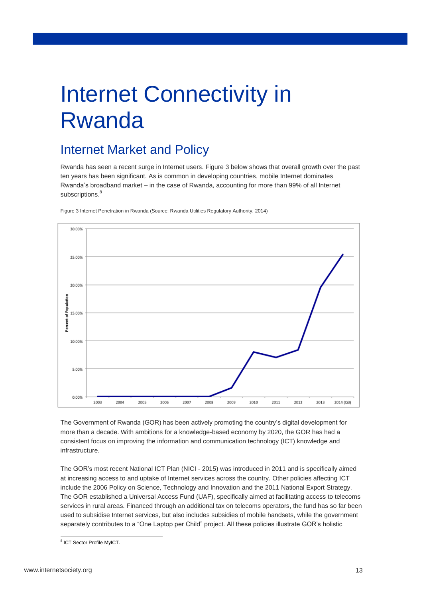# Internet Connectivity in Rwanda

## Internet Market and Policy

Rwanda has seen a recent surge in Internet users. [Figure 3](#page-12-0) below shows that overall growth over the past ten years has been significant. As is common in developing countries, mobile Internet dominates Rwanda's broadband market – in the case of Rwanda, accounting for more than 99% of all Internet subscriptions.<sup>8</sup>



<span id="page-12-0"></span>Figure 3 Internet Penetration in Rwanda (Source: Rwanda Utilities Regulatory Authority, 2014)

The Government of Rwanda (GOR) has been actively promoting the country's digital development for more than a decade. With ambitions for a knowledge-based economy by 2020, the GOR has had a consistent focus on improving the information and communication technology (ICT) knowledge and infrastructure.

The GOR's most recent National ICT Plan (NICI - 2015) was introduced in 2011 and is specifically aimed at increasing access to and uptake of Internet services across the country. Other policies affecting ICT include the 2006 Policy on Science, Technology and Innovation and the 2011 National Export Strategy. The GOR established a Universal Access Fund (UAF), specifically aimed at facilitating access to telecoms services in rural areas. Financed through an additional tax on telecoms operators, the fund has so far been used to subsidise Internet services, but also includes subsidies of mobile handsets, while the government separately contributes to a "One Laptop per Child" project. All these policies illustrate GOR's holistic

<sup>&</sup>lt;u>s</u><br>Bict Sector Profile MyICT.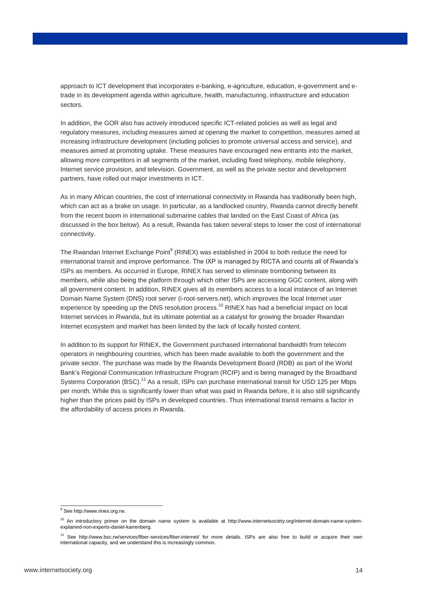approach to ICT development that incorporates e-banking, e-agriculture, education, e-government and etrade in its development agenda within agriculture, health, manufacturing, infrastructure and education sectors.

In addition, the GOR also has actively introduced specific ICT-related policies as well as legal and regulatory measures, including measures aimed at opening the market to competition, measures aimed at increasing infrastructure development (including policies to promote universal access and service), and measures aimed at promoting uptake. These measures have encouraged new entrants into the market, allowing more competitors in all segments of the market, including fixed telephony, mobile telephony, Internet service provision, and television. Government, as well as the private sector and development partners, have rolled out major investments in ICT.

As in many African countries, the cost of international connectivity in Rwanda has traditionally been high, which can act as a brake on usage. In particular, as a landlocked country, Rwanda cannot directly benefit from the recent boom in international submarine cables that landed on the East Coast of Africa (as discussed in the box below). As a result, Rwanda has taken several steps to lower the cost of international connectivity.

The Rwandan Internet Exchange Point $^9$  (RINEX) was established in 2004 to both reduce the need for international transit and improve performance. The IXP is managed by RICTA and counts all of Rwanda's ISPs as members. As occurred in Europe, RINEX has served to eliminate tromboning between its members, while also being the platform through which other ISPs are accessing GGC content, along with all government content. In addition, RINEX gives all its members access to a local instance of an Internet Domain Name System (DNS) root server (i-root-servers.net), which improves the local Internet user experience by speeding up the DNS resolution process.<sup>10</sup> RINEX has had a beneficial impact on local Internet services in Rwanda, but its ultimate potential as a catalyst for growing the broader Rwandan Internet ecosystem and market has been limited by the lack of locally hosted content.

In addition to its support for RINEX, the Government purchased international bandwidth from telecom operators in neighbouring countries, which has been made available to both the government and the private sector. The purchase was made by the Rwanda Development Board (RDB) as part of the World Bank's Regional Communication Infrastructure Program (RCIP) and is being managed by the Broadband Systems Corporation (BSC).<sup>11</sup> As a result, ISPs can purchase international transit for USD 125 per Mbps per month. While this is significantly lower than what was paid in Rwanda before, it is also still significantly higher than the prices paid by ISPs in developed countries. Thus international transit remains a factor in the affordability of access prices in Rwanda.

 $\overline{a}$ 

<sup>&</sup>lt;sup>9</sup> See http://www.rinex.org.rw.

<sup>&</sup>lt;sup>10</sup> An introductory primer on the domain name system is available at http://www.internetsociety.org/internet-domain-name-systemexplained-non-experts-daniel-karrenberg.

<sup>11</sup> See http://www.bsc.rw/services/fiber-services/fiber-internet/ for more details. ISPs are also free to build or acquire their own international capacity, and we understand this is increasingly common.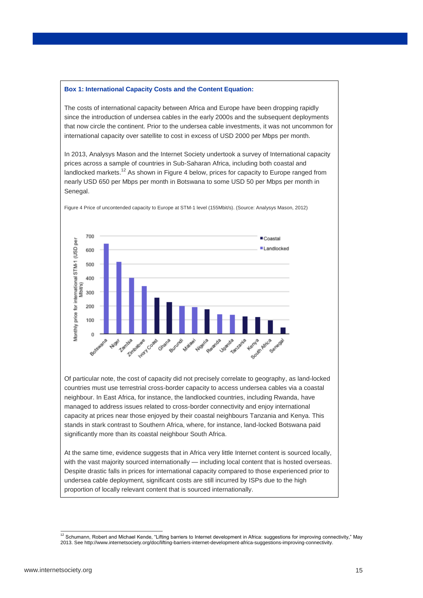#### **Box 1: International Capacity Costs and the Content Equation:**

The costs of international capacity between Africa and Europe have been dropping rapidly since the introduction of undersea cables in the early 2000s and the subsequent deployments that now circle the continent. Prior to the undersea cable investments, it was not uncommon for international capacity over satellite to cost in excess of USD 2000 per Mbps per month.

In 2013, Analysys Mason and the Internet Society undertook a survey of International capacity prices across a sample of countries in Sub-Saharan Africa, including both coastal and landlocked markets.<sup>12</sup> As shown i[n Figure 4](#page-14-0) below, prices for capacity to Europe ranged from nearly USD 650 per Mbps per month in Botswana to some USD 50 per Mbps per month in Senegal.



<span id="page-14-0"></span>Figure 4 Price of uncontended capacity to Europe at STM-1 level (155Mbit/s). (Source: Analysys Mason, 2012)

Of particular note, the cost of capacity did not precisely correlate to geography, as land-locked countries must use terrestrial cross-border capacity to access undersea cables via a coastal neighbour. In East Africa, for instance, the landlocked countries, including Rwanda, have managed to address issues related to cross-border connectivity and enjoy international capacity at prices near those enjoyed by their coastal neighbours Tanzania and Kenya. This stands in stark contrast to Southern Africa, where, for instance, land-locked Botswana paid significantly more than its coastal neighbour South Africa.

At the same time, evidence suggests that in Africa very little Internet content is sourced locally, with the vast majority sourced internationally — including local content that is hosted overseas. Despite drastic falls in prices for international capacity compared to those experienced prior to undersea cable deployment, significant costs are still incurred by ISPs due to the high proportion of locally relevant content that is sourced internationally.

<sup>-</sup> $12$  Schumann, Robert and Michael Kende, "Lifting barriers to Internet development in Africa: suggestions for improving connectivity," May 2013. See http://www.internetsociety.org/doc/lifting-barriers-internet-development-africa-suggestions-improving-connectivity.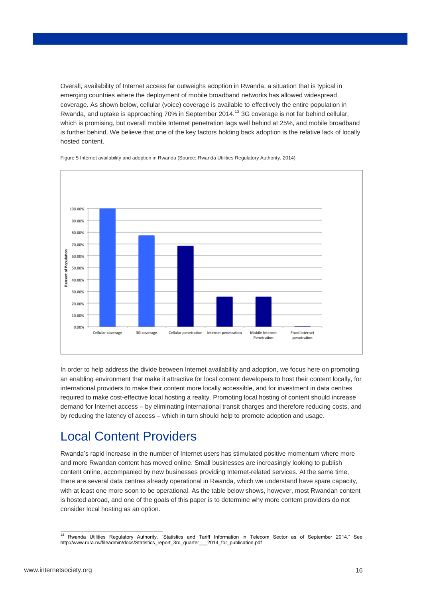Overall, availability of Internet access far outweighs adoption in Rwanda, a situation that is typical in emerging countries where the deployment of mobile broadband networks has allowed widespread coverage. As shown below, cellular (voice) coverage is available to effectively the entire population in Rwanda, and uptake is approaching 70% in September 2014.<sup>13</sup> 3G coverage is not far behind cellular, which is promising, but overall mobile Internet penetration lags well behind at 25%, and mobile broadband is further behind. We believe that one of the key factors holding back adoption is the relative lack of locally hosted content.



Figure 5 Internet availability and adoption in Rwanda (Source: Rwanda Utilities Regulatory Authority, 2014)

In order to help address the divide between Internet availability and adoption, we focus here on promoting an enabling environment that make it attractive for local content developers to host their content locally, for international providers to make their content more locally accessible, and for investment in data centres required to make cost-effective local hosting a reality. Promoting local hosting of content should increase demand for Internet access – by eliminating international transit charges and therefore reducing costs, and by reducing the latency of access – which in turn should help to promote adoption and usage.

## Local Content Providers

Rwanda's rapid increase in the number of Internet users has stimulated positive momentum where more and more Rwandan content has moved online. Small businesses are increasingly looking to publish content online, accompanied by new businesses providing Internet-related services. At the same time, there are several data centres already operational in Rwanda, which we understand have spare capacity, with at least one more soon to be operational. As the table below shows, however, most Rwandan content is hosted abroad, and one of the goals of this paper is to determine why more content providers do not consider local hosting as an option.

<sup>-</sup><sup>13</sup> Rwanda Utilities Regulatory Authority. "Statistics and Tariff Information in Telecom Sector as of September 2014." See http://www.rura.rw/fileadmin/docs/Statistics\_report\_3rd\_quarter\_\_\_2014\_for\_publication.pdf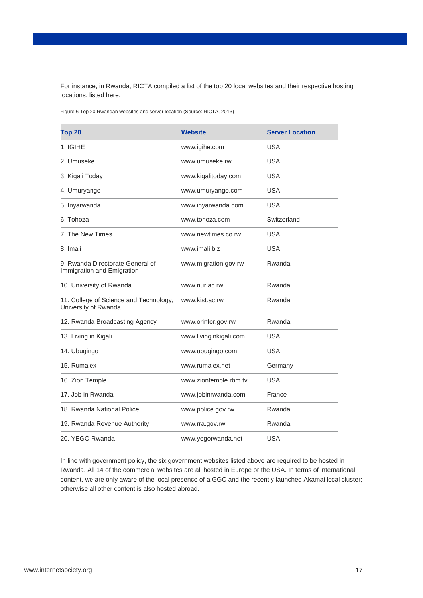For instance, in Rwanda, RICTA compiled a list of the top 20 local websites and their respective hosting locations, listed here.

Figure 6 Top 20 Rwandan websites and server location (Source: RICTA, 2013)

| Top <sub>20</sub>                                              | <b>Website</b>         | <b>Server Location</b> |
|----------------------------------------------------------------|------------------------|------------------------|
| 1. IGIHE                                                       | www.igihe.com          | <b>USA</b>             |
| 2. Umuseke                                                     | www.umuseke.rw         | <b>USA</b>             |
| 3. Kigali Today                                                | www.kigalitoday.com    | <b>USA</b>             |
| 4. Umuryango                                                   | www.umuryango.com      | <b>USA</b>             |
| 5. Inyarwanda                                                  | www.inyarwanda.com     | <b>USA</b>             |
| 6. Tohoza                                                      | www.tohoza.com         | Switzerland            |
| 7. The New Times                                               | www.newtimes.co.rw     | <b>USA</b>             |
| 8. Imali                                                       | www.imali.biz          | <b>USA</b>             |
| 9. Rwanda Directorate General of<br>Immigration and Emigration | www.migration.gov.rw   | Rwanda                 |
| 10. University of Rwanda                                       | www.nur.ac.rw          | Rwanda                 |
| 11. College of Science and Technology,<br>University of Rwanda | www.kist.ac.rw         | Rwanda                 |
| 12. Rwanda Broadcasting Agency                                 | www.orinfor.gov.rw     | Rwanda                 |
| 13. Living in Kigali                                           | www.livinginkigali.com | <b>USA</b>             |
| 14. Ubugingo                                                   | www.ubugingo.com       | <b>USA</b>             |
| 15. Rumalex                                                    | www.rumalex.net        | Germany                |
| 16. Zion Temple                                                | www.ziontemple.rbm.tv  | <b>USA</b>             |
| 17. Job in Rwanda                                              | www.jobinrwanda.com    | France                 |
| 18. Rwanda National Police                                     | www.police.gov.rw      | Rwanda                 |
| 19. Rwanda Revenue Authority                                   | www.rra.gov.rw         | Rwanda                 |
| 20. YEGO Rwanda                                                | www.yegorwanda.net     | <b>USA</b>             |

In line with government policy, the six government websites listed above are required to be hosted in Rwanda. All 14 of the commercial websites are all hosted in Europe or the USA. In terms of international content, we are only aware of the local presence of a GGC and the recently-launched Akamai local cluster; otherwise all other content is also hosted abroad.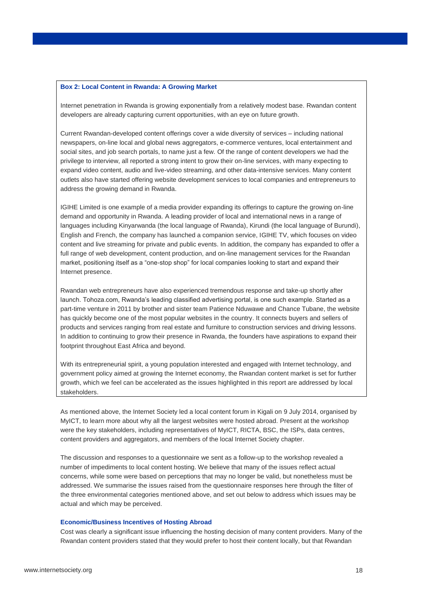#### **Box 2: Local Content in Rwanda: A Growing Market**

Internet penetration in Rwanda is growing exponentially from a relatively modest base. Rwandan content developers are already capturing current opportunities, with an eye on future growth.

Current Rwandan-developed content offerings cover a wide diversity of services – including national newspapers, on-line local and global news aggregators, e-commerce ventures, local entertainment and social sites, and job search portals, to name just a few. Of the range of content developers we had the privilege to interview, all reported a strong intent to grow their on-line services, with many expecting to expand video content, audio and live-video streaming, and other data-intensive services. Many content outlets also have started offering website development services to local companies and entrepreneurs to address the growing demand in Rwanda.

IGIHE Limited is one example of a media provider expanding its offerings to capture the growing on-line demand and opportunity in Rwanda. A leading provider of local and international news in a range of languages including Kinyarwanda (the local language of Rwanda), Kirundi (the local language of Burundi), English and French, the company has launched a companion service, IGIHE TV, which focuses on video content and live streaming for private and public events. In addition, the company has expanded to offer a full range of web development, content production, and on-line management services for the Rwandan market, positioning itself as a "one-stop shop" for local companies looking to start and expand their Internet presence.

Rwandan web entrepreneurs have also experienced tremendous response and take-up shortly after launch. Tohoza.com, Rwanda's leading classified advertising portal, is one such example. Started as a part-time venture in 2011 by brother and sister team Patience Nduwawe and Chance Tubane, the website has quickly become one of the most popular websites in the country. It connects buyers and sellers of products and services ranging from real estate and furniture to construction services and driving lessons. In addition to continuing to grow their presence in Rwanda, the founders have aspirations to expand their footprint throughout East Africa and beyond.

With its entrepreneurial spirit, a young population interested and engaged with Internet technology, and government policy aimed at growing the Internet economy, the Rwandan content market is set for further growth, which we feel can be accelerated as the issues highlighted in this report are addressed by local stakeholders.

As mentioned above, the Internet Society led a local content forum in Kigali on 9 July 2014, organised by MyICT, to learn more about why all the largest websites were hosted abroad. Present at the workshop were the key stakeholders, including representatives of MyICT, RICTA, BSC, the ISPs, data centres, content providers and aggregators, and members of the local Internet Society chapter.

The discussion and responses to a questionnaire we sent as a follow-up to the workshop revealed a number of impediments to local content hosting. We believe that many of the issues reflect actual concerns, while some were based on perceptions that may no longer be valid, but nonetheless must be addressed. We summarise the issues raised from the questionnaire responses here through the filter of the three environmental categories mentioned above, and set out below to address which issues may be actual and which may be perceived.

#### **Economic/Business Incentives of Hosting Abroad**

Cost was clearly a significant issue influencing the hosting decision of many content providers. Many of the Rwandan content providers stated that they would prefer to host their content locally, but that Rwandan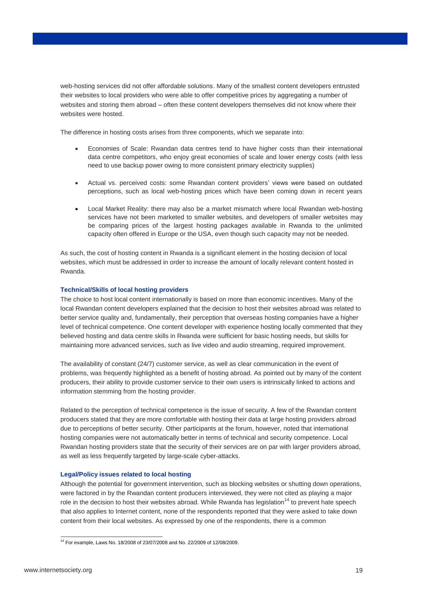web-hosting services did not offer affordable solutions. Many of the smallest content developers entrusted their websites to local providers who were able to offer competitive prices by aggregating a number of websites and storing them abroad – often these content developers themselves did not know where their websites were hosted.

The difference in hosting costs arises from three components, which we separate into:

- Economies of Scale: Rwandan data centres tend to have higher costs than their international data centre competitors, who enjoy great economies of scale and lower energy costs (with less need to use backup power owing to more consistent primary electricity supplies)
- Actual vs. perceived costs: some Rwandan content providers' views were based on outdated perceptions, such as local web-hosting prices which have been coming down in recent years
- Local Market Reality: there may also be a market mismatch where local Rwandan web-hosting services have not been marketed to smaller websites, and developers of smaller websites may be comparing prices of the largest hosting packages available in Rwanda to the unlimited capacity often offered in Europe or the USA, even though such capacity may not be needed.

As such, the cost of hosting content in Rwanda is a significant element in the hosting decision of local websites, which must be addressed in order to increase the amount of locally relevant content hosted in Rwanda.

#### **Technical/Skills of local hosting providers**

The choice to host local content internationally is based on more than economic incentives. Many of the local Rwandan content developers explained that the decision to host their websites abroad was related to better service quality and, fundamentally, their perception that overseas hosting companies have a higher level of technical competence. One content developer with experience hosting locally commented that they believed hosting and data centre skills in Rwanda were sufficient for basic hosting needs, but skills for maintaining more advanced services, such as live video and audio streaming, required improvement.

The availability of constant (24/7) customer service, as well as clear communication in the event of problems, was frequently highlighted as a benefit of hosting abroad. As pointed out by many of the content producers, their ability to provide customer service to their own users is intrinsically linked to actions and information stemming from the hosting provider.

Related to the perception of technical competence is the issue of security. A few of the Rwandan content producers stated that they are more comfortable with hosting their data at large hosting providers abroad due to perceptions of better security. Other participants at the forum, however, noted that international hosting companies were not automatically better in terms of technical and security competence. Local Rwandan hosting providers state that the security of their services are on par with larger providers abroad, as well as less frequently targeted by large-scale cyber-attacks.

#### **Legal/Policy issues related to local hosting**

Although the potential for government intervention, such as blocking websites or shutting down operations, were factored in by the Rwandan content producers interviewed, they were not cited as playing a major role in the decision to host their websites abroad. While Rwanda has legislation<sup>14</sup> to prevent hate speech that also applies to Internet content, none of the respondents reported that they were asked to take down content from their local websites. As expressed by one of the respondents, there is a common

 $\overline{a}$ <sup>14</sup> For example, Laws No. 18/2008 of 23/07/2008 and No. 22/2009 of 12/08/2009.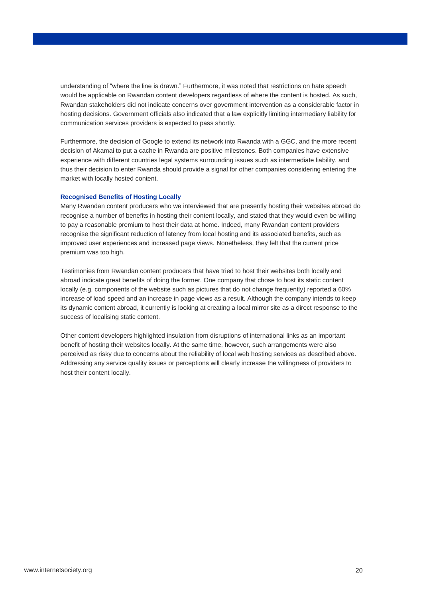understanding of "where the line is drawn." Furthermore, it was noted that restrictions on hate speech would be applicable on Rwandan content developers regardless of where the content is hosted. As such, Rwandan stakeholders did not indicate concerns over government intervention as a considerable factor in hosting decisions. Government officials also indicated that a law explicitly limiting intermediary liability for communication services providers is expected to pass shortly.

Furthermore, the decision of Google to extend its network into Rwanda with a GGC, and the more recent decision of Akamai to put a cache in Rwanda are positive milestones. Both companies have extensive experience with different countries legal systems surrounding issues such as intermediate liability, and thus their decision to enter Rwanda should provide a signal for other companies considering entering the market with locally hosted content.

#### **Recognised Benefits of Hosting Locally**

Many Rwandan content producers who we interviewed that are presently hosting their websites abroad do recognise a number of benefits in hosting their content locally, and stated that they would even be willing to pay a reasonable premium to host their data at home. Indeed, many Rwandan content providers recognise the significant reduction of latency from local hosting and its associated benefits, such as improved user experiences and increased page views. Nonetheless, they felt that the current price premium was too high.

Testimonies from Rwandan content producers that have tried to host their websites both locally and abroad indicate great benefits of doing the former. One company that chose to host its static content locally (e.g. components of the website such as pictures that do not change frequently) reported a 60% increase of load speed and an increase in page views as a result. Although the company intends to keep its dynamic content abroad, it currently is looking at creating a local mirror site as a direct response to the success of localising static content.

Other content developers highlighted insulation from disruptions of international links as an important benefit of hosting their websites locally. At the same time, however, such arrangements were also perceived as risky due to concerns about the reliability of local web hosting services as described above. Addressing any service quality issues or perceptions will clearly increase the willingness of providers to host their content locally.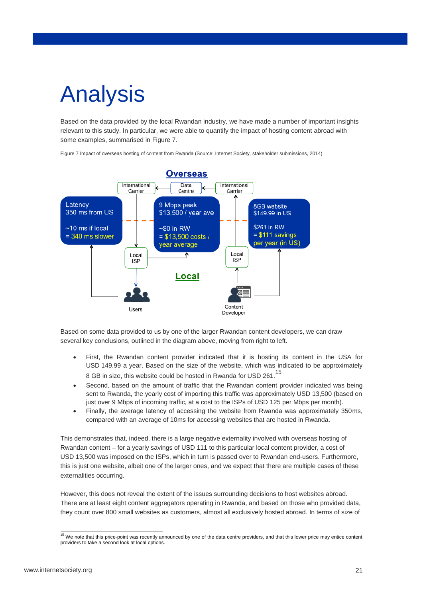# Analysis

Based on the data provided by the local Rwandan industry, we have made a number of important insights relevant to this study. In particular, we were able to quantify the impact of hosting content abroad with some examples, summarised in [Figure 7.](#page-20-0)

<span id="page-20-0"></span>Figure 7 Impact of overseas hosting of content from Rwanda (Source: Internet Society, stakeholder submissions, 2014)



Based on some data provided to us by one of the larger Rwandan content developers, we can draw several key conclusions, outlined in the diagram above, moving from right to left.

- First, the Rwandan content provider indicated that it is hosting its content in the USA for USD 149.99 a year. Based on the size of the website, which was indicated to be approximately 8 GB in size, this website could be hosted in Rwanda for USD 261.<sup>15</sup>
- Second, based on the amount of traffic that the Rwandan content provider indicated was being sent to Rwanda, the yearly cost of importing this traffic was approximately USD 13,500 (based on just over 9 Mbps of incoming traffic, at a cost to the ISPs of USD 125 per Mbps per month).
- Finally, the average latency of accessing the website from Rwanda was approximately 350ms, compared with an average of 10ms for accessing websites that are hosted in Rwanda.

This demonstrates that, indeed, there is a large negative externality involved with overseas hosting of Rwandan content – for a yearly savings of USD 111 to this particular local content provider, a cost of USD 13,500 was imposed on the ISPs, which in turn is passed over to Rwandan end-users. Furthermore, this is just one website, albeit one of the larger ones, and we expect that there are multiple cases of these externalities occurring.

However, this does not reveal the extent of the issues surrounding decisions to host websites abroad. There are at least eight content aggregators operating in Rwanda, and based on those who provided data, they count over 800 small websites as customers, almost all exclusively hosted abroad. In terms of size of

-

<sup>&</sup>lt;sup>15</sup> We note that this price-point was recently announced by one of the data centre providers, and that this lower price may entice content providers to take a second look at local options.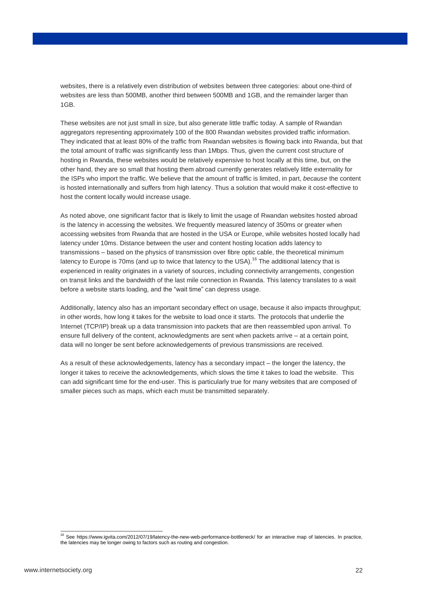websites, there is a relatively even distribution of websites between three categories: about one-third of websites are less than 500MB, another third between 500MB and 1GB, and the remainder larger than 1GB.

These websites are not just small in size, but also generate little traffic today. A sample of Rwandan aggregators representing approximately 100 of the 800 Rwandan websites provided traffic information. They indicated that at least 80% of the traffic from Rwandan websites is flowing back into Rwanda, but that the total amount of traffic was significantly less than 1Mbps. Thus, given the current cost structure of hosting in Rwanda, these websites would be relatively expensive to host locally at this time, but, on the other hand, they are so small that hosting them abroad currently generates relatively little externality for the ISPs who import the traffic. We believe that the amount of traffic is limited, in part, *because* the content is hosted internationally and suffers from high latency. Thus a solution that would make it cost-effective to host the content locally would increase usage.

As noted above, one significant factor that is likely to limit the usage of Rwandan websites hosted abroad is the latency in accessing the websites. We frequently measured latency of 350ms or greater when accessing websites from Rwanda that are hosted in the USA or Europe, while websites hosted locally had latency under 10ms. Distance between the user and content hosting location adds latency to transmissions – based on the physics of transmission over fibre optic cable, the theoretical minimum latency to Europe is 70ms (and up to twice that latency to the USA).<sup>16</sup> The additional latency that is experienced in reality originates in a variety of sources, including connectivity arrangements, congestion on transit links and the bandwidth of the last mile connection in Rwanda. This latency translates to a wait before a website starts loading, and the "wait time" can depress usage.

Additionally, latency also has an important secondary effect on usage, because it also impacts throughput; in other words, how long it takes for the website to load once it starts. The protocols that underlie the Internet (TCP/IP) break up a data transmission into packets that are then reassembled upon arrival. To ensure full delivery of the content, acknowledgments are sent when packets arrive – at a certain point, data will no longer be sent before acknowledgements of previous transmissions are received.

As a result of these acknowledgements, latency has a secondary impact – the longer the latency, the longer it takes to receive the acknowledgements, which slows the time it takes to load the website. This can add significant time for the end-user. This is particularly true for many websites that are composed of smaller pieces such as maps, which each must be transmitted separately.

-

<sup>16</sup> See<https://www.igvita.com/2012/07/19/latency-the-new-web-performance-bottleneck/> for an interactive map of latencies. In practice, the latencies may be longer owing to factors such as routing and congestion.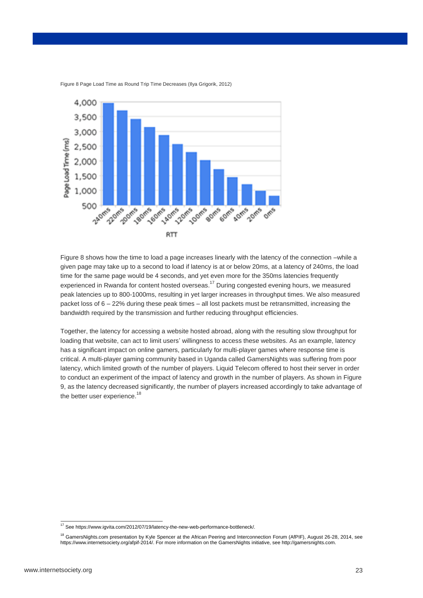

<span id="page-22-0"></span>Figure 8 Page Load Time as Round Trip Time Decreases (Ilya Grigorik, 2012)

[Figure 8](#page-22-0) shows how the time to load a page increases linearly with the latency of the connection –while a given page may take up to a second to load if latency is at or below 20ms, at a latency of 240ms, the load time for the same page would be 4 seconds, and yet even more for the 350ms latencies frequently experienced in Rwanda for content hosted overseas.<sup>17</sup> During congested evening hours, we measured peak latencies up to 800-1000ms, resulting in yet larger increases in throughput times. We also measured packet loss of 6 – 22% during these peak times – all lost packets must be retransmitted, increasing the bandwidth required by the transmission and further reducing throughput efficiencies.

Together, the latency for accessing a website hosted abroad, along with the resulting slow throughput for loading that website, can act to limit users' willingness to access these websites. As an example, latency has a significant impact on online gamers, particularly for multi-player games where response time is critical. A multi-player gaming community based in Uganda called GamersNights was suffering from poor latency, which limited growth of the number of players. Liquid Telecom offered to host their server in order to conduct an experiment of the impact of latency and growth in the number of players. As shown in [Figure](#page-23-0)  [9,](#page-23-0) as the latency decreased significantly, the number of players increased accordingly to take advantage of the better user experience.<sup>18</sup>

 $\overline{a}$ 

<sup>&</sup>lt;sup>17</sup> See https://www.igvita.com/2012/07/19/latency-the-new-web-performance-bottleneck/.

<sup>&</sup>lt;sup>18</sup> GamersNights.com presentation by Kyle Spencer at the African Peering and Interconnection Forum (AfPIF), August 26-28, 2014, see https://www.internetsociety.org/afpif-2014/. For more information on the GamersNights initiative, see http://gamersnights.com.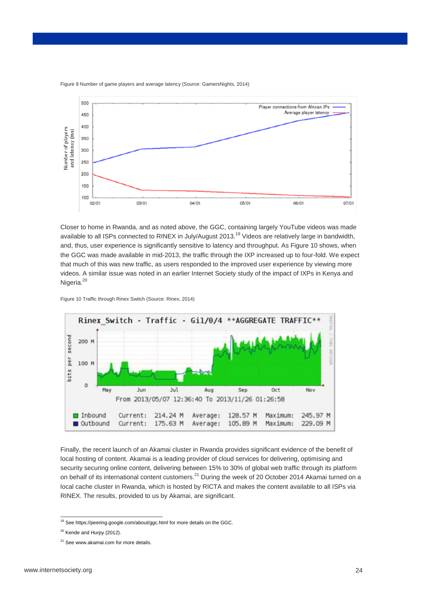

<span id="page-23-0"></span>Figure 9 Number of game players and average latency (Source: GamersNights, 2014)

Closer to home in Rwanda, and as noted above, the GGC, containing largely YouTube videos was made available to all ISPs connected to RINEX in July/August 2013.<sup>19</sup> Videos are relatively large in bandwidth, and, thus, user experience is significantly sensitive to latency and throughput. A[s Figure 10](#page-23-1) shows, when the GGC was made available in mid-2013, the traffic through the IXP increased up to four-fold. We expect that much of this was new traffic, as users responded to the improved user experience by viewing more videos. A similar issue was noted in an earlier Internet Society study of the impact of IXPs in Kenya and Nigeria.<sup>20</sup>

<span id="page-23-1"></span>Figure 10 Traffic through Rinex Switch (Source: Rinex, 2014)



Finally, the recent launch of an Akamai cluster in Rwanda provides significant evidence of the benefit of local hosting of content. Akamai is a leading provider of cloud services for delivering, optimising and security securing online content, delivering between 15% to 30% of global web traffic through its platform on behalf of its international content customers.<sup>21</sup> During the week of 20 October 2014 Akamai turned on a local cache cluster in Rwanda, which is hosted by RICTA and makes the content available to all ISPs via RINEX. The results, provided to us by Akamai, are significant.

 $\overline{a}$ 

<sup>&</sup>lt;sup>19</sup> Se[e https://peering.google.com/about/ggc.html](https://peering.google.com/about/ggc.html) for more details on the GGC.

<sup>&</sup>lt;sup>20</sup> Kende and Hurpy (2012).

<sup>&</sup>lt;sup>21</sup> Se[e www.akamai.com](http://www.akamai.com/) for more details.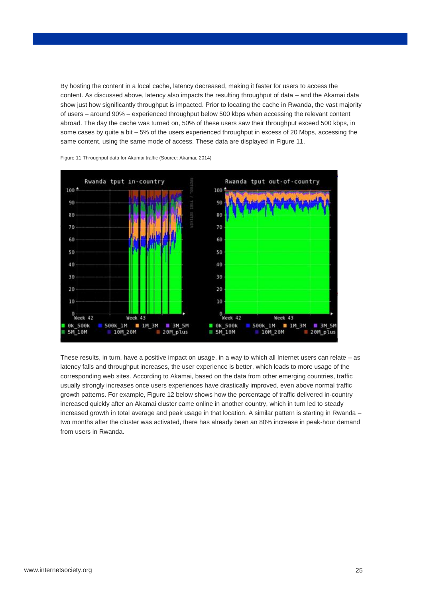By hosting the content in a local cache, latency decreased, making it faster for users to access the content. As discussed above, latency also impacts the resulting throughput of data – and the Akamai data show just how significantly throughput is impacted. Prior to locating the cache in Rwanda, the vast majority of users – around 90% – experienced throughput below 500 kbps when accessing the relevant content abroad. The day the cache was turned on, 50% of these users saw their throughput exceed 500 kbps, in some cases by quite a bit – 5% of the users experienced throughput in excess of 20 Mbps, accessing the same content, using the same mode of access. These data are displayed i[n Figure 11.](#page-24-0)



<span id="page-24-0"></span>Figure 11 Throughput data for Akamai traffic (Source: Akamai, 2014)

These results, in turn, have a positive impact on usage, in a way to which all Internet users can relate – as latency falls and throughput increases, the user experience is better, which leads to more usage of the corresponding web sites. According to Akamai, based on the data from other emerging countries, traffic usually strongly increases once users experiences have drastically improved, even above normal traffic growth patterns. For example, [Figure 12](#page-25-0) below shows how the percentage of traffic delivered in-country increased quickly after an Akamai cluster came online in another country, which in turn led to steady increased growth in total average and peak usage in that location. A similar pattern is starting in Rwanda – two months after the cluster was activated, there has already been an 80% increase in peak-hour demand from users in Rwanda.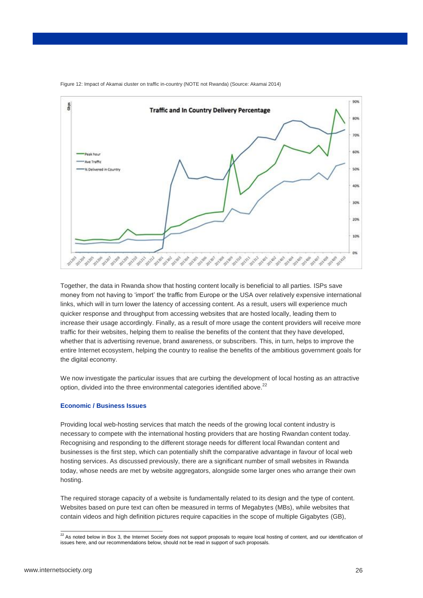

<span id="page-25-0"></span>Figure 12: Impact of Akamai cluster on traffic in-country (NOTE not Rwanda) (Source: Akamai 2014)

Together, the data in Rwanda show that hosting content locally is beneficial to all parties. ISPs save money from not having to 'import' the traffic from Europe or the USA over relatively expensive international links, which will in turn lower the latency of accessing content. As a result, users will experience much quicker response and throughput from accessing websites that are hosted locally, leading them to increase their usage accordingly. Finally, as a result of more usage the content providers will receive more traffic for their websites, helping them to realise the benefits of the content that they have developed, whether that is advertising revenue, brand awareness, or subscribers. This, in turn, helps to improve the entire Internet ecosystem, helping the country to realise the benefits of the ambitious government goals for the digital economy.

We now investigate the particular issues that are curbing the development of local hosting as an attractive option, divided into the three environmental categories identified above.<sup>22</sup>

#### **Economic / Business Issues**

Providing local web-hosting services that match the needs of the growing local content industry is necessary to compete with the international hosting providers that are hosting Rwandan content today. Recognising and responding to the different storage needs for different local Rwandan content and businesses is the first step, which can potentially shift the comparative advantage in favour of local web hosting services. As discussed previously, there are a significant number of small websites in Rwanda today, whose needs are met by website aggregators, alongside some larger ones who arrange their own hosting.

The required storage capacity of a website is fundamentally related to its design and the type of content. Websites based on pure text can often be measured in terms of Megabytes (MBs), while websites that contain videos and high definition pictures require capacities in the scope of multiple Gigabytes (GB),

-

 $^{22}$  As noted below in Box 3, the Internet Society does not support proposals to require local hosting of content, and our identification of issues here, and our recommendations below, should not be read in support of such proposals.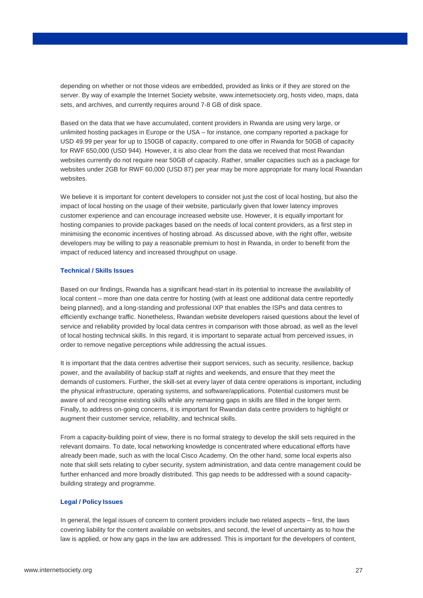depending on whether or not those videos are embedded, provided as links or if they are stored on the server. By way of example the Internet Society website, www.internetsociety.org, hosts video, maps, data sets, and archives, and currently requires around 7-8 GB of disk space.

Based on the data that we have accumulated, content providers in Rwanda are using very large, or unlimited hosting packages in Europe or the USA – for instance, one company reported a package for USD 49.99 per year for up to 150GB of capacity, compared to one offer in Rwanda for 50GB of capacity for RWF 650,000 (USD 944). However, it is also clear from the data we received that most Rwandan websites currently do not require near 50GB of capacity. Rather, smaller capacities such as a package for websites under 2GB for RWF 60,000 (USD 87) per year may be more appropriate for many local Rwandan websites.

We believe it is important for content developers to consider not just the cost of local hosting, but also the impact of local hosting on the usage of their website, particularly given that lower latency improves customer experience and can encourage increased website use. However, it is equally important for hosting companies to provide packages based on the needs of local content providers, as a first step in minimising the economic incentives of hosting abroad. As discussed above, with the right offer, website developers may be willing to pay a reasonable premium to host in Rwanda, in order to benefit from the impact of reduced latency and increased throughput on usage.

#### **Technical / Skills Issues**

Based on our findings, Rwanda has a significant head-start in its potential to increase the availability of local content – more than one data centre for hosting (with at least one additional data centre reportedly being planned), and a long-standing and professional IXP that enables the ISPs and data centres to efficiently exchange traffic. Nonetheless, Rwandan website developers raised questions about the level of service and reliability provided by local data centres in comparison with those abroad, as well as the level of local hosting technical skills. In this regard, it is important to separate actual from perceived issues, in order to remove negative perceptions while addressing the actual issues.

It is important that the data centres advertise their support services, such as security, resilience, backup power, and the availability of backup staff at nights and weekends, and ensure that they meet the demands of customers. Further, the skill-set at every layer of data centre operations is important, including the physical infrastructure, operating systems, and software/applications. Potential customers must be aware of and recognise existing skills while any remaining gaps in skills are filled in the longer term. Finally, to address on-going concerns, it is important for Rwandan data centre providers to highlight or augment their customer service, reliability, and technical skills.

From a capacity-building point of view, there is no formal strategy to develop the skill sets required in the relevant domains. To date, local networking knowledge is concentrated where educational efforts have already been made, such as with the local Cisco Academy. On the other hand, some local experts also note that skill sets relating to cyber security, system administration, and data centre management could be further enhanced and more broadly distributed. This gap needs to be addressed with a sound capacitybuilding strategy and programme.

#### **Legal / Policy Issues**

In general, the legal issues of concern to content providers include two related aspects – first, the laws covering liability for the content available on websites, and second, the level of uncertainty as to how the law is applied, or how any gaps in the law are addressed. This is important for the developers of content,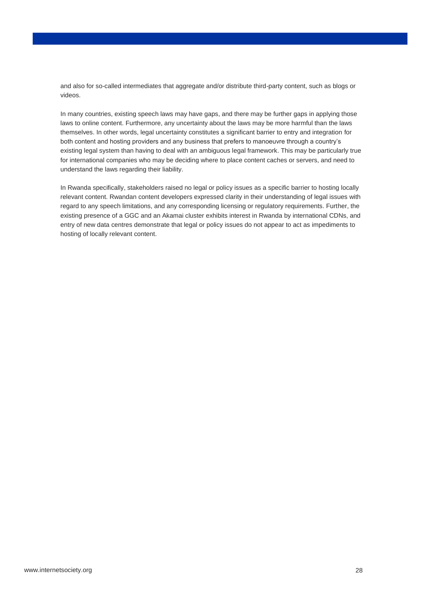and also for so-called intermediates that aggregate and/or distribute third-party content, such as blogs or videos.

In many countries, existing speech laws may have gaps, and there may be further gaps in applying those laws to online content. Furthermore, any uncertainty about the laws may be more harmful than the laws themselves. In other words, legal uncertainty constitutes a significant barrier to entry and integration for both content and hosting providers and any business that prefers to manoeuvre through a country's existing legal system than having to deal with an ambiguous legal framework. This may be particularly true for international companies who may be deciding where to place content caches or servers, and need to understand the laws regarding their liability.

In Rwanda specifically, stakeholders raised no legal or policy issues as a specific barrier to hosting locally relevant content. Rwandan content developers expressed clarity in their understanding of legal issues with regard to any speech limitations, and any corresponding licensing or regulatory requirements. Further, the existing presence of a GGC and an Akamai cluster exhibits interest in Rwanda by international CDNs, and entry of new data centres demonstrate that legal or policy issues do not appear to act as impediments to hosting of locally relevant content.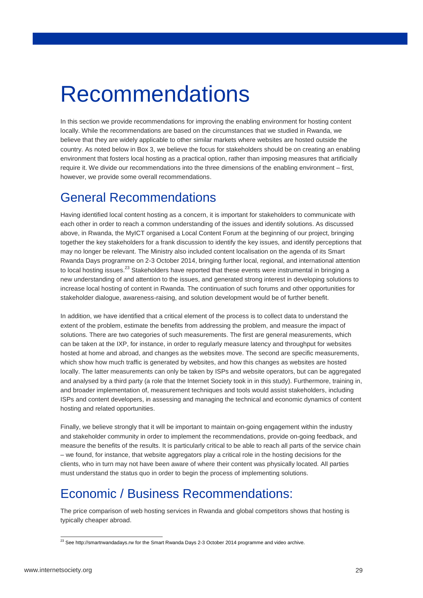## Recommendations

In this section we provide recommendations for improving the enabling environment for hosting content locally. While the recommendations are based on the circumstances that we studied in Rwanda, we believe that they are widely applicable to other similar markets where websites are hosted outside the country. As noted below in Box 3, we believe the focus for stakeholders should be on creating an enabling environment that fosters local hosting as a practical option, rather than imposing measures that artificially require it. We divide our recommendations into the three dimensions of the enabling environment – first, however, we provide some overall recommendations.

### General Recommendations

Having identified local content hosting as a concern, it is important for stakeholders to communicate with each other in order to reach a common understanding of the issues and identify solutions. As discussed above, in Rwanda, the MyICT organised a Local Content Forum at the beginning of our project, bringing together the key stakeholders for a frank discussion to identify the key issues, and identify perceptions that may no longer be relevant. The Ministry also included content localisation on the agenda of its Smart Rwanda Days programme on 2-3 October 2014, bringing further local, regional, and international attention to local hosting issues.<sup>23</sup> Stakeholders have reported that these events were instrumental in bringing a new understanding of and attention to the issues, and generated strong interest in developing solutions to increase local hosting of content in Rwanda. The continuation of such forums and other opportunities for stakeholder dialogue, awareness-raising, and solution development would be of further benefit.

In addition, we have identified that a critical element of the process is to collect data to understand the extent of the problem, estimate the benefits from addressing the problem, and measure the impact of solutions. There are two categories of such measurements. The first are general measurements, which can be taken at the IXP, for instance, in order to regularly measure latency and throughput for websites hosted at home and abroad, and changes as the websites move. The second are specific measurements, which show how much traffic is generated by websites, and how this changes as websites are hosted locally. The latter measurements can only be taken by ISPs and website operators, but can be aggregated and analysed by a third party (a role that the Internet Society took in in this study). Furthermore, training in, and broader implementation of, measurement techniques and tools would assist stakeholders, including ISPs and content developers, in assessing and managing the technical and economic dynamics of content hosting and related opportunities.

Finally, we believe strongly that it will be important to maintain on-going engagement within the industry and stakeholder community in order to implement the recommendations, provide on-going feedback, and measure the benefits of the results. It is particularly critical to be able to reach all parts of the service chain – we found, for instance, that website aggregators play a critical role in the hosting decisions for the clients, who in turn may not have been aware of where their content was physically located. All parties must understand the status quo in order to begin the process of implementing solutions.

### Economic / Business Recommendations:

The price comparison of web hosting services in Rwanda and global competitors shows that hosting is typically cheaper abroad.

 $\overline{a}$  $^{23}$  Se[e http://smartrwandadays.rw](http://smartrwandadays.rw/) for the Smart Rwanda Days 2-3 October 2014 programme and video archive.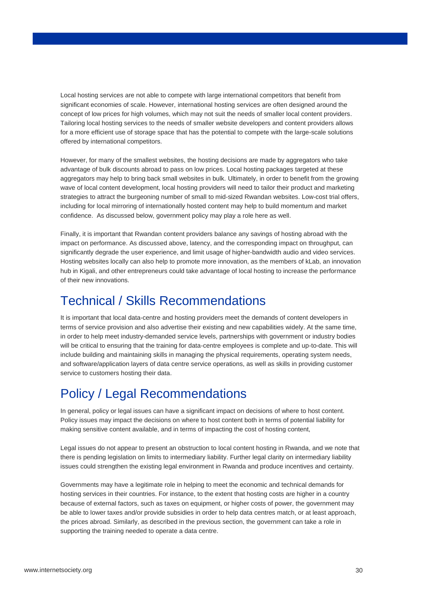Local hosting services are not able to compete with large international competitors that benefit from significant economies of scale. However, international hosting services are often designed around the concept of low prices for high volumes, which may not suit the needs of smaller local content providers. Tailoring local hosting services to the needs of smaller website developers and content providers allows for a more efficient use of storage space that has the potential to compete with the large-scale solutions offered by international competitors.

However, for many of the smallest websites, the hosting decisions are made by aggregators who take advantage of bulk discounts abroad to pass on low prices. Local hosting packages targeted at these aggregators may help to bring back small websites in bulk. Ultimately, in order to benefit from the growing wave of local content development, local hosting providers will need to tailor their product and marketing strategies to attract the burgeoning number of small to mid-sized Rwandan websites. Low-cost trial offers, including for local mirroring of internationally hosted content may help to build momentum and market confidence. As discussed below, government policy may play a role here as well.

Finally, it is important that Rwandan content providers balance any savings of hosting abroad with the impact on performance. As discussed above, latency, and the corresponding impact on throughput, can significantly degrade the user experience, and limit usage of higher-bandwidth audio and video services. Hosting websites locally can also help to promote more innovation, as the members of kLab, an innovation hub in Kigali, and other entrepreneurs could take advantage of local hosting to increase the performance of their new innovations.

### Technical / Skills Recommendations

It is important that local data-centre and hosting providers meet the demands of content developers in terms of service provision and also advertise their existing and new capabilities widely. At the same time, in order to help meet industry-demanded service levels, partnerships with government or industry bodies will be critical to ensuring that the training for data-centre employees is complete and up-to-date. This will include building and maintaining skills in managing the physical requirements, operating system needs, and software/application layers of data centre service operations, as well as skills in providing customer service to customers hosting their data.

### Policy / Legal Recommendations

In general, policy or legal issues can have a significant impact on decisions of where to host content. Policy issues may impact the decisions on where to host content both in terms of potential liability for making sensitive content available, and in terms of impacting the cost of hosting content,

Legal issues do not appear to present an obstruction to local content hosting in Rwanda, and we note that there is pending legislation on limits to intermediary liability. Further legal clarity on intermediary liability issues could strengthen the existing legal environment in Rwanda and produce incentives and certainty.

Governments may have a legitimate role in helping to meet the economic and technical demands for hosting services in their countries. For instance, to the extent that hosting costs are higher in a country because of external factors, such as taxes on equipment, or higher costs of power, the government may be able to lower taxes and/or provide subsidies in order to help data centres match, or at least approach, the prices abroad. Similarly, as described in the previous section, the government can take a role in supporting the training needed to operate a data centre.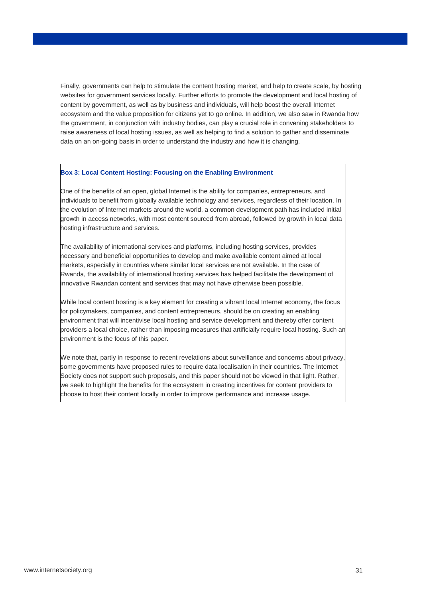Finally, governments can help to stimulate the content hosting market, and help to create scale, by hosting websites for government services locally. Further efforts to promote the development and local hosting of content by government, as well as by business and individuals, will help boost the overall Internet ecosystem and the value proposition for citizens yet to go online. In addition, we also saw in Rwanda how the government, in conjunction with industry bodies, can play a crucial role in convening stakeholders to raise awareness of local hosting issues, as well as helping to find a solution to gather and disseminate data on an on-going basis in order to understand the industry and how it is changing.

#### **Box 3: Local Content Hosting: Focusing on the Enabling Environment**

One of the benefits of an open, global Internet is the ability for companies, entrepreneurs, and individuals to benefit from globally available technology and services, regardless of their location. In the evolution of Internet markets around the world, a common development path has included initial growth in access networks, with most content sourced from abroad, followed by growth in local data hosting infrastructure and services.

The availability of international services and platforms, including hosting services, provides necessary and beneficial opportunities to develop and make available content aimed at local markets, especially in countries where similar local services are not available. In the case of Rwanda, the availability of international hosting services has helped facilitate the development of innovative Rwandan content and services that may not have otherwise been possible.

While local content hosting is a key element for creating a vibrant local Internet economy, the focus for policymakers, companies, and content entrepreneurs, should be on creating an enabling environment that will incentivise local hosting and service development and thereby offer content providers a local choice, rather than imposing measures that artificially require local hosting. Such an environment is the focus of this paper.

We note that, partly in response to recent revelations about surveillance and concerns about privacy, some governments have proposed rules to require data localisation in their countries. The Internet Society does not support such proposals, and this paper should not be viewed in that light. Rather, we seek to highlight the benefits for the ecosystem in creating incentives for content providers to choose to host their content locally in order to improve performance and increase usage.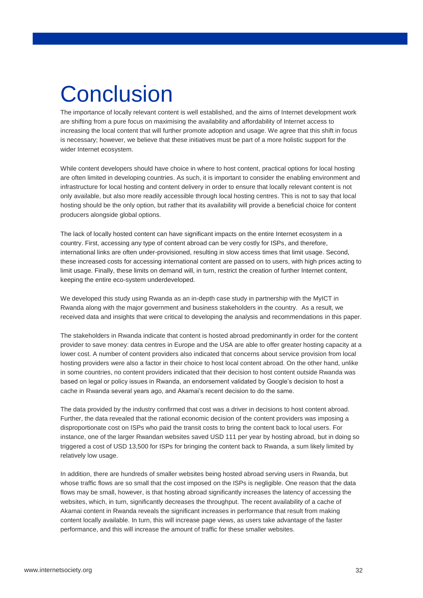# **Conclusion**

The importance of locally relevant content is well established, and the aims of Internet development work are shifting from a pure focus on maximising the availability and affordability of Internet access to increasing the local content that will further promote adoption and usage. We agree that this shift in focus is necessary; however, we believe that these initiatives must be part of a more holistic support for the wider Internet ecosystem.

While content developers should have choice in where to host content, practical options for local hosting are often limited in developing countries. As such, it is important to consider the enabling environment and infrastructure for local hosting and content delivery in order to ensure that locally relevant content is not only available, but also more readily accessible through local hosting centres. This is not to say that local hosting should be the only option, but rather that its availability will provide a beneficial choice for content producers alongside global options.

The lack of locally hosted content can have significant impacts on the entire Internet ecosystem in a country. First, accessing any type of content abroad can be very costly for ISPs, and therefore, international links are often under-provisioned, resulting in slow access times that limit usage. Second, these increased costs for accessing international content are passed on to users, with high prices acting to limit usage. Finally, these limits on demand will, in turn, restrict the creation of further Internet content, keeping the entire eco-system underdeveloped.

We developed this study using Rwanda as an in-depth case study in partnership with the MyICT in Rwanda along with the major government and business stakeholders in the country. As a result, we received data and insights that were critical to developing the analysis and recommendations in this paper.

The stakeholders in Rwanda indicate that content is hosted abroad predominantly in order for the content provider to save money: data centres in Europe and the USA are able to offer greater hosting capacity at a lower cost. A number of content providers also indicated that concerns about service provision from local hosting providers were also a factor in their choice to host local content abroad. On the other hand, unlike in some countries, no content providers indicated that their decision to host content outside Rwanda was based on legal or policy issues in Rwanda, an endorsement validated by Google's decision to host a cache in Rwanda several years ago, and Akamai's recent decision to do the same.

The data provided by the industry confirmed that cost was a driver in decisions to host content abroad. Further, the data revealed that the rational economic decision of the content providers was imposing a disproportionate cost on ISPs who paid the transit costs to bring the content back to local users. For instance, one of the larger Rwandan websites saved USD 111 per year by hosting abroad, but in doing so triggered a cost of USD 13,500 for ISPs for bringing the content back to Rwanda, a sum likely limited by relatively low usage.

In addition, there are hundreds of smaller websites being hosted abroad serving users in Rwanda, but whose traffic flows are so small that the cost imposed on the ISPs is negligible. One reason that the data flows may be small, however, is that hosting abroad significantly increases the latency of accessing the websites, which, in turn, significantly decreases the throughput. The recent availability of a cache of Akamai content in Rwanda reveals the significant increases in performance that result from making content locally available. In turn, this will increase page views, as users take advantage of the faster performance, and this will increase the amount of traffic for these smaller websites.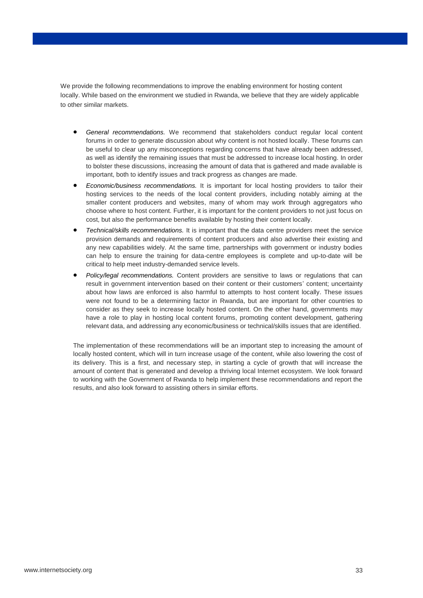We provide the following recommendations to improve the enabling environment for hosting content locally. While based on the environment we studied in Rwanda, we believe that they are widely applicable to other similar markets.

- *General recommendations.* We recommend that stakeholders conduct regular local content forums in order to generate discussion about why content is not hosted locally. These forums can be useful to clear up any misconceptions regarding concerns that have already been addressed, as well as identify the remaining issues that must be addressed to increase local hosting. In order to bolster these discussions, increasing the amount of data that is gathered and made available is important, both to identify issues and track progress as changes are made.
- *Economic/business recommendations.* It is important for local hosting providers to tailor their hosting services to the needs of the local content providers, including notably aiming at the smaller content producers and websites, many of whom may work through aggregators who choose where to host content. Further, it is important for the content providers to not just focus on cost, but also the performance benefits available by hosting their content locally.
- *Technical/skills recommendations.* It is important that the data centre providers meet the service provision demands and requirements of content producers and also advertise their existing and any new capabilities widely. At the same time, partnerships with government or industry bodies can help to ensure the training for data-centre employees is complete and up-to-date will be critical to help meet industry-demanded service levels.
- *Policy/legal recommendations.* Content providers are sensitive to laws or regulations that can result in government intervention based on their content or their customers' content; uncertainty about how laws are enforced is also harmful to attempts to host content locally. These issues were not found to be a determining factor in Rwanda, but are important for other countries to consider as they seek to increase locally hosted content. On the other hand, governments may have a role to play in hosting local content forums, promoting content development, gathering relevant data, and addressing any economic/business or technical/skills issues that are identified.

The implementation of these recommendations will be an important step to increasing the amount of locally hosted content, which will in turn increase usage of the content, while also lowering the cost of its delivery. This is a first, and necessary step, in starting a cycle of growth that will increase the amount of content that is generated and develop a thriving local Internet ecosystem. We look forward to working with the Government of Rwanda to help implement these recommendations and report the results, and also look forward to assisting others in similar efforts.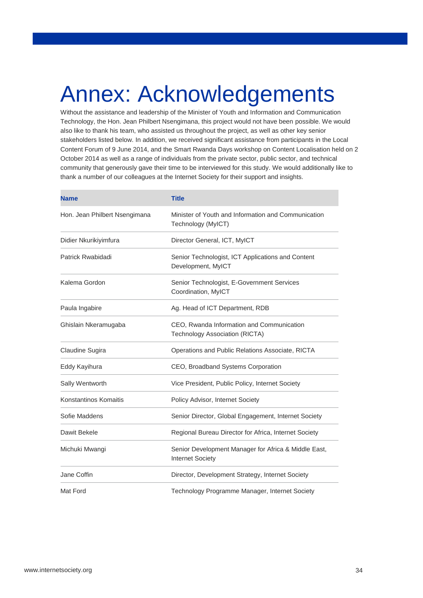## Annex: Acknowledgements

Without the assistance and leadership of the Minister of Youth and Information and Communication Technology, the Hon. Jean Philbert Nsengimana, this project would not have been possible. We would also like to thank his team, who assisted us throughout the project, as well as other key senior stakeholders listed below. In addition, we received significant assistance from participants in the Local Content Forum of 9 June 2014, and the Smart Rwanda Days workshop on Content Localisation held on 2 October 2014 as well as a range of individuals from the private sector, public sector, and technical community that generously gave their time to be interviewed for this study. We would additionally like to thank a number of our colleagues at the Internet Society for their support and insights.

| <b>Name</b>                   | <b>Title</b>                                                                       |
|-------------------------------|------------------------------------------------------------------------------------|
| Hon. Jean Philbert Nsengimana | Minister of Youth and Information and Communication<br>Technology (MyICT)          |
| Didier Nkurikiyimfura         | Director General, ICT, MyICT                                                       |
| Patrick Rwabidadi             | Senior Technologist, ICT Applications and Content<br>Development, MyICT            |
| Kalema Gordon                 | Senior Technologist, E-Government Services<br>Coordination, MyICT                  |
| Paula Ingabire                | Ag. Head of ICT Department, RDB                                                    |
| Ghislain Nkeramugaba          | CEO, Rwanda Information and Communication<br><b>Technology Association (RICTA)</b> |
| Claudine Sugira               | Operations and Public Relations Associate, RICTA                                   |
| Eddy Kayihura                 | CEO, Broadband Systems Corporation                                                 |
| Sally Wentworth               | Vice President, Public Policy, Internet Society                                    |
| <b>Konstantinos Komaitis</b>  | Policy Advisor, Internet Society                                                   |
| Sofie Maddens                 | Senior Director, Global Engagement, Internet Society                               |
| Dawit Bekele                  | Regional Bureau Director for Africa, Internet Society                              |
| Michuki Mwangi                | Senior Development Manager for Africa & Middle East,<br><b>Internet Society</b>    |
| Jane Coffin                   | Director, Development Strategy, Internet Society                                   |
| Mat Ford                      | Technology Programme Manager, Internet Society                                     |